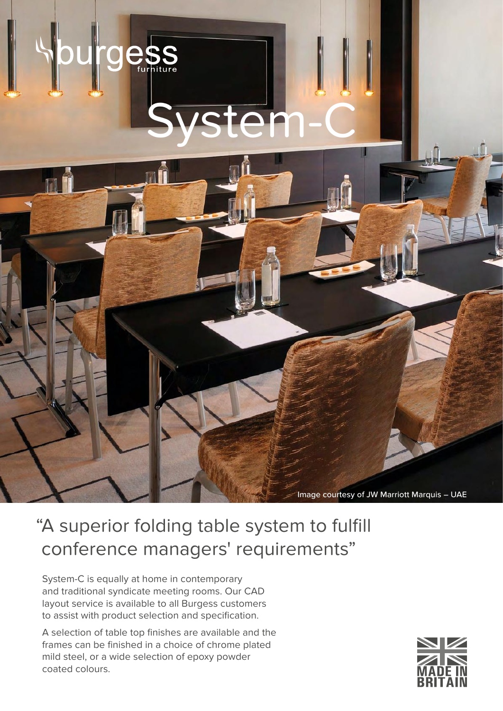# System-C

Image courtesy of JW Marriott Marquis – UAE

"A superior folding table system to fulfill conference managers' requirements"

System-C is equally at home in contemporary and traditional syndicate meeting rooms. Our CAD layout service is available to all Burgess customers to assist with product selection and specification.

A selection of table top finishes are available and the frames can be finished in a choice of chrome plated mild steel, or a wide selection of epoxy powder coated colours.